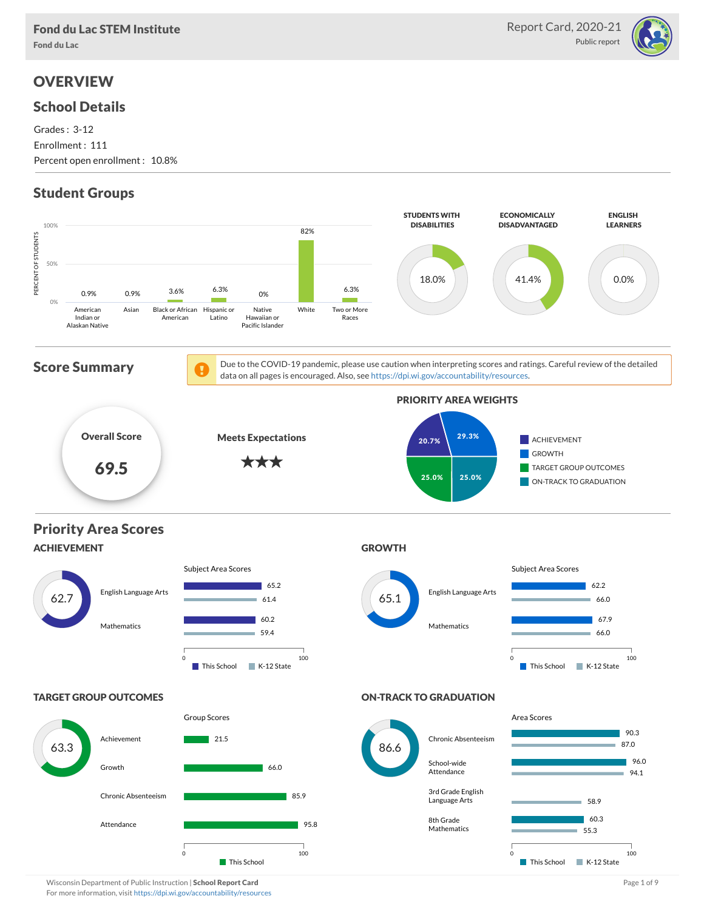

# **OVERVIEW**

## School Details

Grades : 3-12 Enrollment : 111 Percent open enrollment : 10.8%

# Student Groups



Wisconsin Department of Public Instruction | School Report Card Page 1 of 9 and Page 1 of 9 and Page 1 of 9 and Page 1 of 9 and Page 1 of 9 and Page 1 of 9 and Page 1 of 9 and Page 1 of 9 and Page 1 of 9 and Page 1 of 9 an For more information, visit <https://dpi.wi.gov/accountability/resources>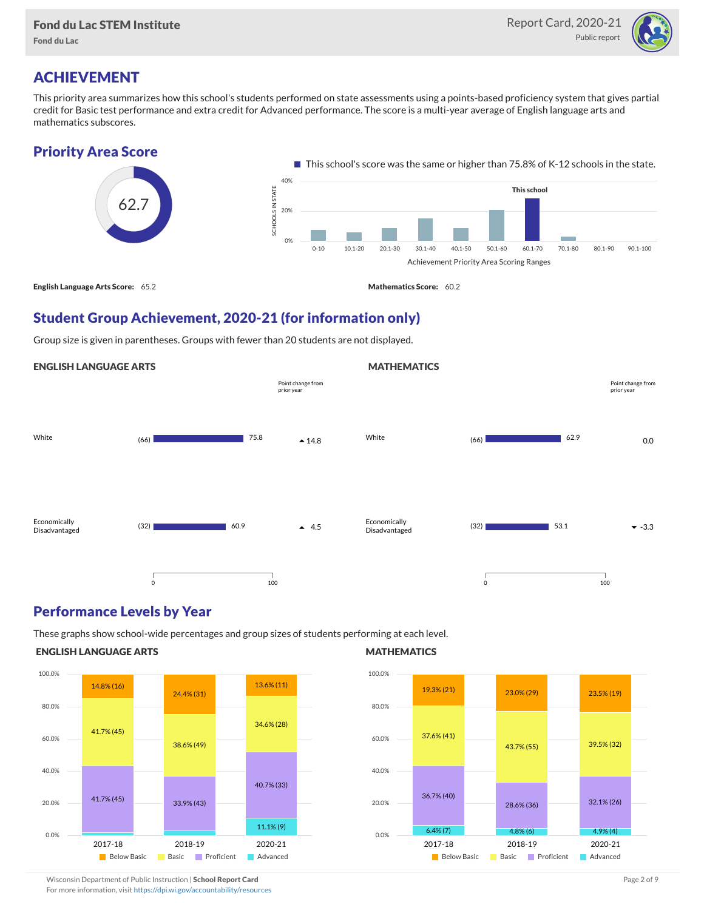Fond du Lac



## ACHIEVEMENT

This priority area summarizes how this school's students performed on state assessments using a points-based proficiency system that gives partial credit for Basic test performance and extra credit for Advanced performance. The score is a multi-year average of English language arts and mathematics subscores.

### Priority Area Score



### Student Group Achievement, 2020-21 (for information only)

Group size is given in parentheses. Groups with fewer than 20 students are not displayed.



### Performance Levels by Year

These graphs show school-wide percentages and group sizes of students performing at each level.

### ENGLISH LANGUAGE ARTS



### **MATHEMATICS**



Wisconsin Department of Public Instruction | School Report Card Page 2 of 9 and 2 of 9 and 2 of 9 and 2 of 9 and 2 of 9 and 2 of 9 and 2 of 9 and 2 of 9 and 2 of 9 and 2 of 9 and 2 of 9 and 2 of 9 and 2 of 9 and 2 of 9 and For more information, visit <https://dpi.wi.gov/accountability/resources>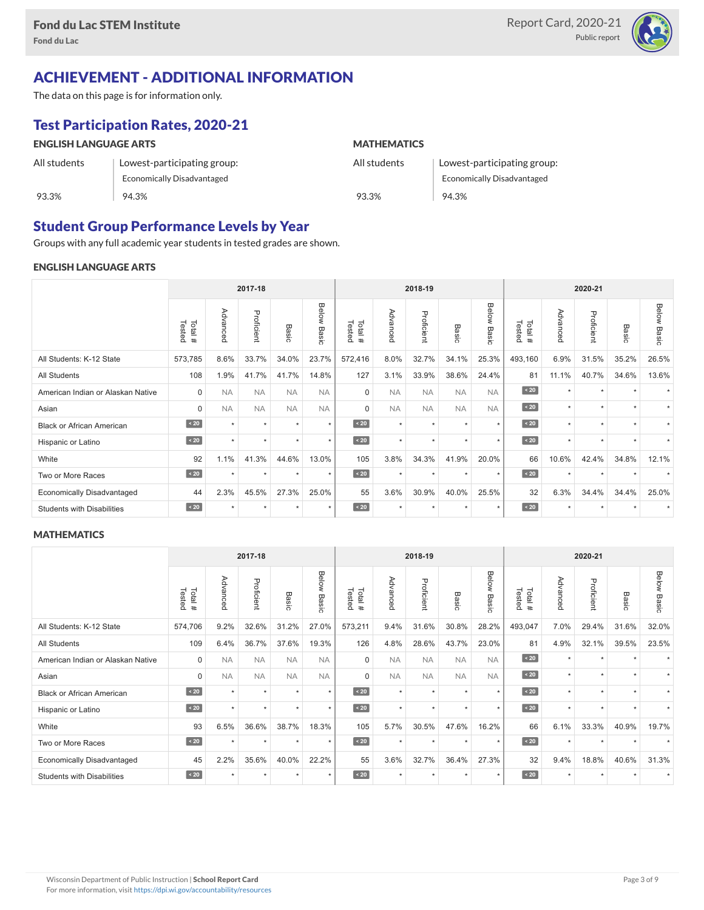

# ACHIEVEMENT - ADDITIONAL INFORMATION

The data on this page is for information only.

# Test Participation Rates, 2020-21

| <b>ENGLISH LANGUAGE ARTS</b> |                                   | <b>MATHEMATICS</b> |                                   |  |  |  |  |
|------------------------------|-----------------------------------|--------------------|-----------------------------------|--|--|--|--|
| All students                 | Lowest-participating group:       | All students       | Lowest-participating group:       |  |  |  |  |
|                              | <b>Economically Disadvantaged</b> |                    | <b>Economically Disadvantaged</b> |  |  |  |  |
| 93.3%                        | 94.3%                             | 93.3%              | 94.3%                             |  |  |  |  |

## Student Group Performance Levels by Year

Groups with any full academic year students in tested grades are shown.

### ENGLISH LANGUAGE ARTS

|                                   | 2017-18          |           |            |           | 2018-19            |                  |           |            |                 | 2020-21        |                  |          |            |         |                    |
|-----------------------------------|------------------|-----------|------------|-----------|--------------------|------------------|-----------|------------|-----------------|----------------|------------------|----------|------------|---------|--------------------|
|                                   | Total#<br>Tested | Advanced  | Proficient | Basic     | <b>Below Basic</b> | Tested<br>Total# | Advanced  | Proficient | Basi<br>$\circ$ | Below<br>Basic | Tested<br>Total# | Advanced | Proficient | Basic   | <b>Below Basic</b> |
| All Students: K-12 State          | 573,785          | 8.6%      | 33.7%      | 34.0%     | 23.7%              | 572,416          | 8.0%      | 32.7%      | 34.1%           | 25.3%          | 493,160          | 6.9%     | 31.5%      | 35.2%   | 26.5%              |
| All Students                      | 108              | 1.9%      | 41.7%      | 41.7%     | 14.8%              | 127              | 3.1%      | 33.9%      | 38.6%           | 24.4%          | 81               | 11.1%    | 40.7%      | 34.6%   | 13.6%              |
| American Indian or Alaskan Native | $\mathbf 0$      | <b>NA</b> | <b>NA</b>  | <b>NA</b> | <b>NA</b>          | $\mathbf 0$      | <b>NA</b> | <b>NA</b>  | <b>NA</b>       | <b>NA</b>      | $\sim 20$        | $\star$  | $\star$    |         |                    |
| Asian                             | $\Omega$         | <b>NA</b> | <b>NA</b>  | <b>NA</b> | <b>NA</b>          | $\Omega$         | <b>NA</b> | <b>NA</b>  | <b>NA</b>       | <b>NA</b>      | $\angle 20$      | $\star$  | $\star$    |         |                    |
| <b>Black or African American</b>  | $\sim 20$        | $\star$   | $\star$    | $\star$   | $\star$            | $\sim 20$        | $\star$   | $\star$    | $\star$         | $\star$        | $\sim 20$        | $\star$  | $\star$    |         |                    |
| Hispanic or Latino                | $\angle 20$      | $\star$   | $\star$    | $\star$   | $\star$            | $\angle 20$      | $\star$   | $\star$    | $\star$         | $\star$        | $\angle 20$      | $\star$  | $\star$    | $\star$ |                    |
| White                             | 92               | 1.1%      | 41.3%      | 44.6%     | 13.0%              | 105              | 3.8%      | 34.3%      | 41.9%           | 20.0%          | 66               | 10.6%    | 42.4%      | 34.8%   | 12.1%              |
| Two or More Races                 | $\sim 20$        |           | ٠          | ٠         | $\star$            | $\sim 20$        | $\star$   | $\star$    | $\ddot{}$       | ٠              | $\sim 20$        | $\star$  | ٠          |         |                    |
| <b>Economically Disadvantaged</b> | 44               | 2.3%      | 45.5%      | 27.3%     | 25.0%              | 55               | 3.6%      | 30.9%      | 40.0%           | 25.5%          | 32               | 6.3%     | 34.4%      | 34.4%   | 25.0%              |
| <b>Students with Disabilities</b> | $\sim 20$        | ٠         | $\star$    | ٠         | $\star$            | $\sim 20$        | $\star$   | $\star$    |                 | $\star$        | $\sim 20$        | $\star$  | $\star$    |         |                    |

#### **MATHEMATICS**

|                                   | 2017-18          |           |            |               | 2018-19        |                  |           |            |                      | 2020-21        |                  |          |            |                      |             |
|-----------------------------------|------------------|-----------|------------|---------------|----------------|------------------|-----------|------------|----------------------|----------------|------------------|----------|------------|----------------------|-------------|
|                                   | Tested<br>Total# | Advanced  | Proficient | Basic         | Below<br>Basic | Tested<br>Total# | Advanced  | Proficient | Basic                | Below<br>Basic | Tested<br>Total# | Advanced | Proficient | Basic                | Below Basic |
| All Students: K-12 State          | 574,706          | 9.2%      | 32.6%      | 31.2%         | 27.0%          | 573,211          | 9.4%      | 31.6%      | 30.8%                | 28.2%          | 493,047          | 7.0%     | 29.4%      | 31.6%                | 32.0%       |
| <b>All Students</b>               | 109              | 6.4%      | 36.7%      | 37.6%         | 19.3%          | 126              | 4.8%      | 28.6%      | 43.7%                | 23.0%          | 81               | 4.9%     | 32.1%      | 39.5%                | 23.5%       |
| American Indian or Alaskan Native | $\mathbf 0$      | <b>NA</b> | <b>NA</b>  | <b>NA</b>     | <b>NA</b>      | $\mathbf 0$      | <b>NA</b> | <b>NA</b>  | <b>NA</b>            | <b>NA</b>      | $\sim 20$        | $\star$  | $\star$    |                      |             |
| Asian                             | $\mathbf 0$      | <b>NA</b> | <b>NA</b>  | <b>NA</b>     | <b>NA</b>      | $\Omega$         | <b>NA</b> | <b>NA</b>  | <b>NA</b>            | <b>NA</b>      | $\angle 20$      | $\star$  | $\star$    |                      |             |
| <b>Black or African American</b>  | $\sim 20$        | $\star$   | $\star$    | $\rightarrow$ | $\star$        | $\leq 20$        | $\star$   | $\star$    | $\star$              | $\star$        | $\angle 20$      | $\star$  | $\star$    | $\ddot{}$            |             |
| Hispanic or Latino                | $\angle 20$      | $\ddot{}$ | $\star$    | ٠             | $\star$        | $\angle 20$      | $\star$   | $\star$    | $\ddot{\phantom{1}}$ | $\star$        | $\angle 20$      | $\star$  | $\star$    | $\ddot{\phantom{1}}$ |             |
| White                             | 93               | 6.5%      | 36.6%      | 38.7%         | 18.3%          | 105              | 5.7%      | 30.5%      | 47.6%                | 16.2%          | 66               | 6.1%     | 33.3%      | 40.9%                | 19.7%       |
| Two or More Races                 | $\sim 20$        | $\star$   | $\star$    | $\star$       | $\star$        | $\angle 20$      | $\star$   | $\star$    | $\star$              | $\star$        | $\angle 20$      | $\star$  | $\star$    |                      |             |
| <b>Economically Disadvantaged</b> | 45               | 2.2%      | 35.6%      | 40.0%         | 22.2%          | 55               | 3.6%      | 32.7%      | 36.4%                | 27.3%          | 32               | 9.4%     | 18.8%      | 40.6%                | 31.3%       |
| <b>Students with Disabilities</b> | $\angle 20$      | $\star$   | $\star$    | $\star$       | $\star$        | $\angle 20$      | $\star$   | $\star$    |                      | $\star$        | $\angle 20$      | $\star$  | $\star$    |                      |             |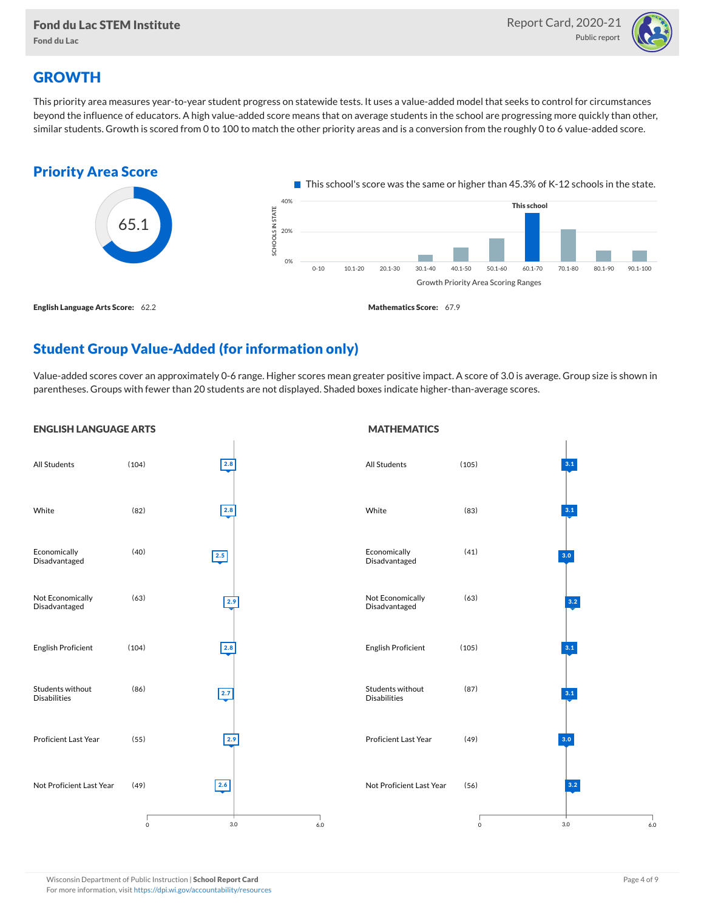

## **GROWTH**

This priority area measures year-to-year student progress on statewide tests. It uses a value-added model that seeks to control for circumstances beyond the influence of educators. A high value-added score means that on average students in the school are progressing more quickly than other, similar students. Growth is scored from 0 to 100 to match the other priority areas and is a conversion from the roughly 0 to 6 value-added score.



## Student Group Value-Added (for information only)

Value-added scores cover an approximately 0-6 range. Higher scores mean greater positive impact. A score of 3.0 is average. Group size is shown in parentheses. Groups with fewer than 20 students are not displayed. Shaded boxes indicate higher-than-average scores.

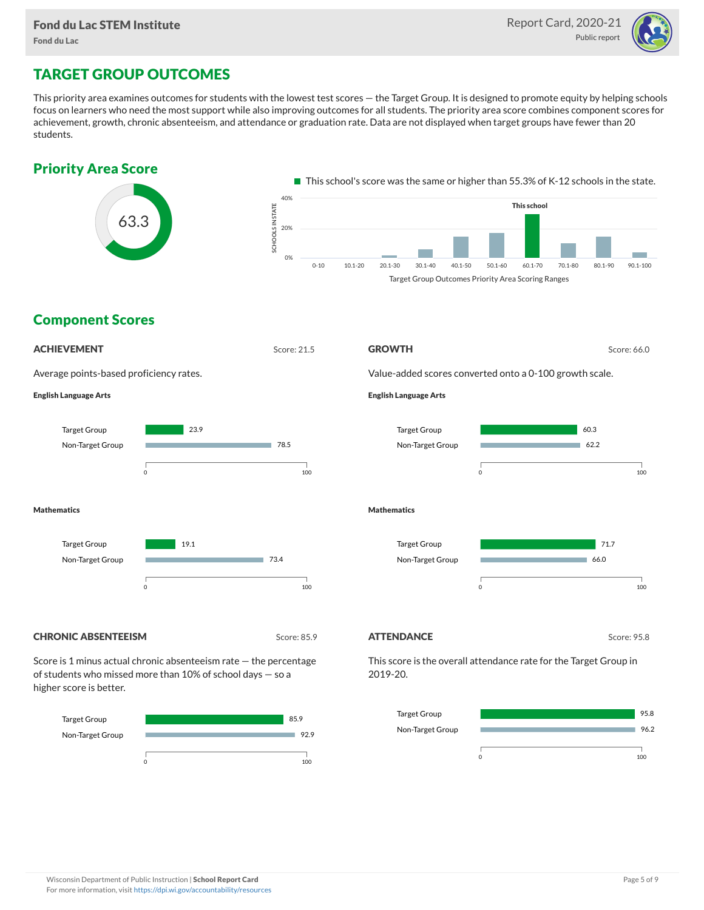

# TARGET GROUP OUTCOMES

This priority area examines outcomes for students with the lowest test scores — the Target Group. It is designed to promote equity by helping schools focus on learners who need the most support while also improving outcomes for all students. The priority area score combines component scores for achievement, growth, chronic absenteeism, and attendance or graduation rate. Data are not displayed when target groups have fewer than 20 students.





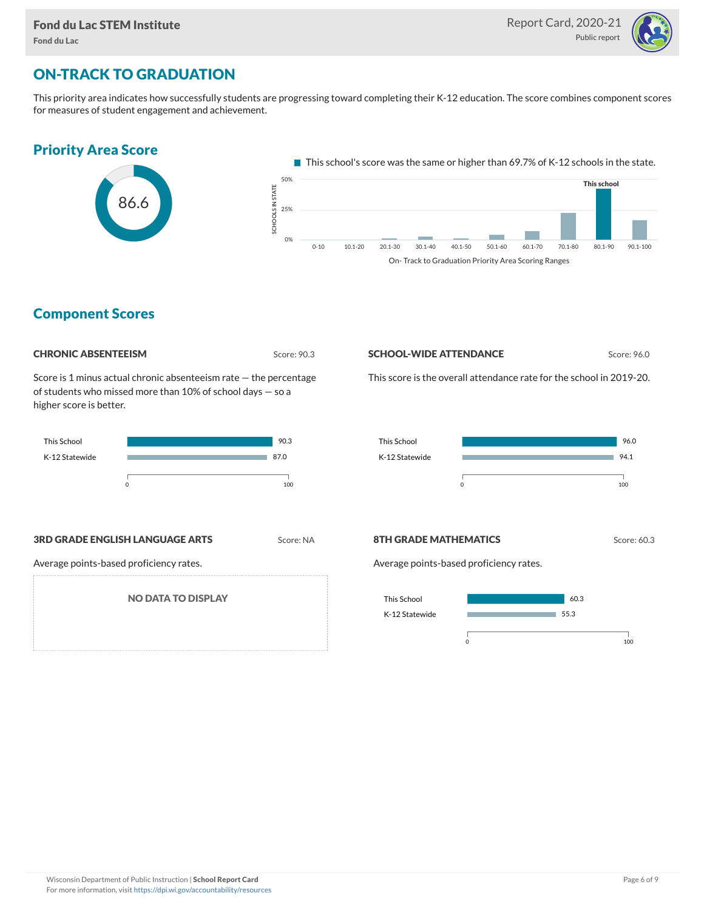

# ON-TRACK TO GRADUATION

This priority area indicates how successfully students are progressing toward completing their K-12 education. The score combines component scores for measures of student engagement and achievement.



## Component Scores



Score is 1 minus actual chronic absenteeism rate — the percentage of students who missed more than 10% of school days — so a higher score is better.



### **3RD GRADE ENGLISH LANGUAGE ARTS** Score: NA

Average points-based proficiency rates.

NO DATA TO DISPLAY

#### **SCHOOL-WIDE ATTENDANCE** Score: 96.0

This score is the overall attendance rate for the school in 2019-20.



#### **8TH GRADE MATHEMATICS** Score: 60.3

Average points-based proficiency rates.

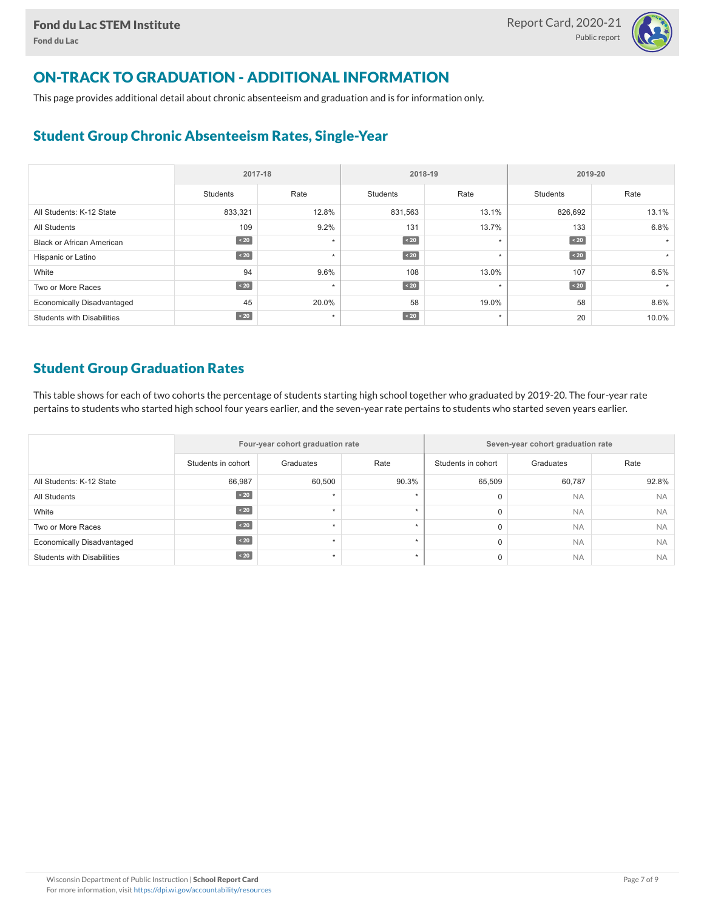

# ON-TRACK TO GRADUATION - ADDITIONAL INFORMATION

This page provides additional detail about chronic absenteeism and graduation and is for information only.

## Student Group Chronic Absenteeism Rates, Single-Year

|                                   | 2017-18   |         |                 | 2018-19 | 2019-20         |       |  |
|-----------------------------------|-----------|---------|-----------------|---------|-----------------|-------|--|
|                                   | Students  | Rate    | <b>Students</b> | Rate    | <b>Students</b> | Rate  |  |
| All Students: K-12 State          | 833,321   | 12.8%   | 831,563         | 13.1%   | 826,692         | 13.1% |  |
| <b>All Students</b>               | 109       | 9.2%    | 131             | 13.7%   | 133             | 6.8%  |  |
| <b>Black or African American</b>  | $\sim 20$ | $\star$ | $\sim 20$       | $\star$ | $\sim 20$       |       |  |
| Hispanic or Latino                | $\sim 20$ | $\star$ | $\sim 20$       | $\star$ | $\sim 20$       |       |  |
| White                             | 94        | 9.6%    | 108             | 13.0%   | 107             | 6.5%  |  |
| Two or More Races                 | $\sim 20$ | $\star$ | $\sim 20$       | $\star$ | $\angle 20$     |       |  |
| <b>Economically Disadvantaged</b> | 45        | 20.0%   | 58              | 19.0%   | 58              | 8.6%  |  |
| <b>Students with Disabilities</b> | $\sim 20$ | $\star$ | $\sim 20$       | $\star$ | 20              | 10.0% |  |

## Student Group Graduation Rates

This table shows for each of two cohorts the percentage of students starting high school together who graduated by 2019-20. The four-year rate pertains to students who started high school four years earlier, and the seven-year rate pertains to students who started seven years earlier.

|                                   |                    | Four-year cohort graduation rate |           | Seven-year cohort graduation rate |           |           |  |  |  |
|-----------------------------------|--------------------|----------------------------------|-----------|-----------------------------------|-----------|-----------|--|--|--|
|                                   | Students in cohort | Graduates                        | Rate      | Students in cohort                | Graduates | Rate      |  |  |  |
| All Students: K-12 State          | 66,987             | 60,500                           | 90.3%     | 65,509                            | 60,787    | 92.8%     |  |  |  |
| All Students                      | 20                 |                                  |           | $\mathbf 0$                       | <b>NA</b> | <b>NA</b> |  |  |  |
| White                             | $\sim 20$          |                                  |           | $\mathbf 0$                       | <b>NA</b> | <b>NA</b> |  |  |  |
| Two or More Races                 | $\sim 20$          |                                  | $\ddot{}$ | $\mathbf 0$                       | <b>NA</b> | <b>NA</b> |  |  |  |
| <b>Economically Disadvantaged</b> | $\angle 20$        |                                  |           | $\mathbf 0$                       | <b>NA</b> | <b>NA</b> |  |  |  |
| <b>Students with Disabilities</b> | 20                 |                                  |           | $\mathbf 0$                       | <b>NA</b> | <b>NA</b> |  |  |  |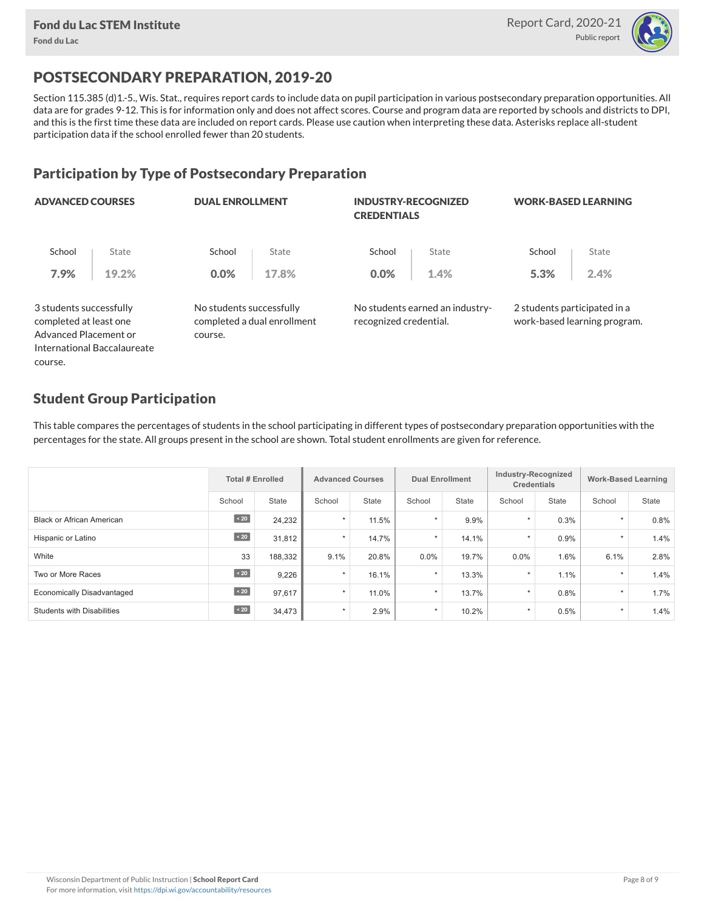

# POSTSECONDARY PREPARATION, 2019-20

Section 115.385 (d)1.-5., Wis. Stat., requires report cards to include data on pupil participation in various postsecondary preparation opportunities. All data are for grades 9-12. This is for information only and does not affect scores. Course and program data are reported by schools and districts to DPI, and this is the first time these data are included on report cards. Please use caution when interpreting these data. Asterisks replace all-student participation data if the school enrolled fewer than 20 students.

## Participation by Type of Postsecondary Preparation

| <b>ADVANCED COURSES</b>                                                    |       | <b>DUAL ENROLLMENT</b>              |                             | <b>INDUSTRY-RECOGNIZED</b><br><b>CREDENTIALS</b> |                                 | <b>WORK-BASED LEARNING</b>   |                              |  |
|----------------------------------------------------------------------------|-------|-------------------------------------|-----------------------------|--------------------------------------------------|---------------------------------|------------------------------|------------------------------|--|
| School                                                                     | State | School                              | State                       | School                                           | State                           | School                       | State                        |  |
| 7.9%                                                                       | 19.2% | 0.0%                                | 17.8%                       | $0.0\%$                                          | 1.4%                            | 5.3%                         | 2.4%                         |  |
| 3 students successfully<br>completed at least one<br>Advanced Placement or |       | No students successfully<br>course. | completed a dual enrollment | recognized credential.                           | No students earned an industry- | 2 students participated in a | work-based learning program. |  |
| International Baccalaureate                                                |       |                                     |                             |                                                  |                                 |                              |                              |  |
| COLICSA                                                                    |       |                                     |                             |                                                  |                                 |                              |                              |  |

## Student Group Participation

This table compares the percentages of students in the school participating in different types of postsecondary preparation opportunities with the percentages for the state. All groups present in the school are shown. Total student enrollments are given for reference.

|                                   | <b>Total # Enrolled</b> |         |         | <b>Advanced Courses</b> |         | <b>Dual Enrollment</b> |         | Industry-Recognized<br><b>Credentials</b> |         | <b>Work-Based Learning</b> |  |
|-----------------------------------|-------------------------|---------|---------|-------------------------|---------|------------------------|---------|-------------------------------------------|---------|----------------------------|--|
|                                   | School                  | State   | School  | <b>State</b>            | School  | <b>State</b>           | School  | State                                     | School  | State                      |  |
| <b>Black or African American</b>  | $\angle 20$             | 24,232  | $\star$ | 11.5%                   | $\star$ | 9.9%                   | $\star$ | 0.3%                                      | $\star$ | 0.8%                       |  |
| Hispanic or Latino                | $\sim 20$               | 31,812  | $\star$ | 14.7%                   | $\star$ | 14.1%                  | $\star$ | 0.9%                                      | $\star$ | 1.4%                       |  |
| White                             | 33                      | 188,332 | 9.1%    | 20.8%                   | 0.0%    | 19.7%                  | 0.0%    | 1.6%                                      | 6.1%    | 2.8%                       |  |
| Two or More Races                 | $\angle 20$             | 9,226   | $\star$ | 16.1%                   | $\star$ | 13.3%                  | $\star$ | 1.1%                                      | $\star$ | 1.4%                       |  |
| <b>Economically Disadvantaged</b> | $\leq 20$               | 97.617  | $\star$ | 11.0%                   | $\star$ | 13.7%                  | $\star$ | 0.8%                                      | $\star$ | 1.7%                       |  |
| <b>Students with Disabilities</b> | $\angle 20$             | 34,473  | $\star$ | 2.9%                    | $\star$ | 10.2%                  | $\star$ | 0.5%                                      | $\star$ | 1.4%                       |  |